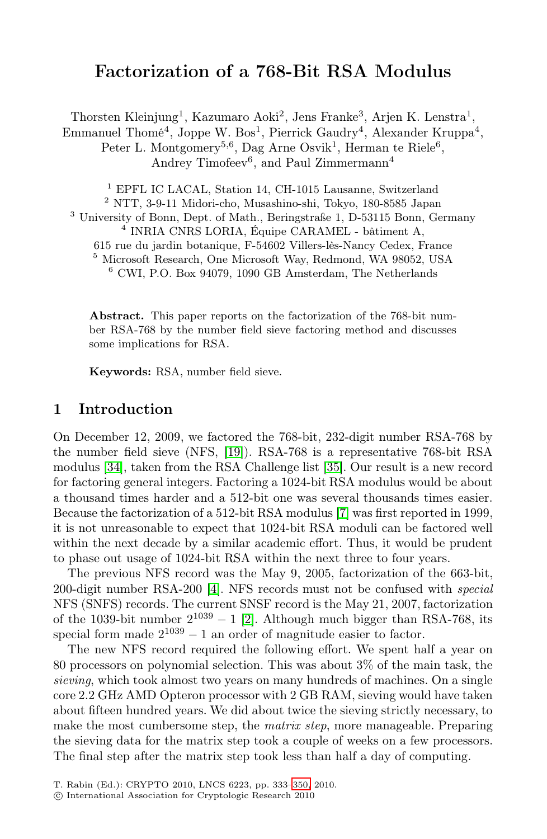# Factorization of a 768-Bit RSA Modulus

Thorsten Kleinjung<sup>1</sup>, Kazumaro Aoki<sup>2</sup>, Jens Franke<sup>3</sup>, Arjen K. Lenstra<sup>1</sup>,

Emmanuel Thomé<sup>4</sup>, Joppe W. Bos<sup>1</sup>, Pierrick Gaudry<sup>4</sup>, Alexander Kruppa<sup>4</sup>, Peter L. Montgomery<sup>5,6</sup>, Dag Arne Osvik<sup>1</sup>, Herman te Riele<sup>6</sup>,

Andrey Timofeev<sup>6</sup>, and Paul Zimmermann<sup>4</sup>

<sup>1</sup> EPFL IC LACAL, Station 14, CH-1015 Lausanne, Switzerland  $^2$ NTT, 3-9-11 Midori-cho, Musashino-shi, Tokyo, 180-8585 Japan

<sup>3</sup> University of Bonn, Dept. of Math., Beringstraße 1, D-53115 Bonn, Germany

<sup>4</sup> INRIA CNRS LORIA, Équipe CARAMEL - bâtiment A,

615 rue du jardin botanique, F-54602 Villers-lès-Nancy Cedex, France <sup>5</sup> Microsoft Research, One Microsoft Way, Redmond, WA 98052, USA

<sup>6</sup> CWI, P.O. Box 94079, 1090 GB Amsterdam, The Netherlands

Abstract. This paper reports on the factorization of the 768-bit number R[SA-](#page-12-0)768 by the number field sieve factoring method and discusses some implications for RS[A.](#page-13-0)

Keywords: RSA, number field sieve.

## 1 Introduction

On December 12, 2009, we factored the 768-bit, 232-digit number RSA-768 by the number field sieve (NFS, [19]). RSA-768 is a representative 768-bit RSA modulus [\[34](#page-11-0)], taken from the RSA Challenge list [35]. Our result is a new record for factoring general integers. Factoring a 1024-bit RSA modulus would be about a thousand ti[mes](#page-11-1) harder and a 512-bit one was several thousands times easier. Because the factorization of a 512-bit RSA modulus [7] was first reported in 1999, it is not unreasonable to expect that 1024-bit RSA moduli can be factored well within the next decade by a similar academic effort. Thus, it would be prudent to phase out usage of 1024-bit RSA within the next three to four years.

The previous NFS record was the May 9, 2005, factorization of the 663-bit, 200-digit number RSA-200 [4]. NFS records must not be confused with *special* NFS (SNFS) records. The current SNSF record is the May 21, 2007, factorization of the 1039-bit number  $2^{1039} - 1$  [2]. Although much bigger than RSA-768, its special form made  $2^{1039} - 1$  an order of magnitude easier to factor.

The new NFS record required the following effort. We spent half a year on 80 processors on polyno[mial](#page-17-0) selection. This was about 3% of the main task, the *sieving*, which took almost two years on many hundreds of machines. On a single core 2.2 GHz AMD Opteron processor with 2 GB RAM, sieving would have taken about fifteen hundred years. We did about twice the sieving strictly necessary, to make the most cumbersome step, the *matrix step*, more manageable. Preparing the sieving data for the matrix step took a couple of weeks on a few processors. The final step after the matrix step took less than half a day of computing.

T. Rabin (Ed.): CRYPTO 2010, LNCS 6223, pp. 333–350, 2010.

<sup>-</sup>c International Association for Cryptologic Research 2010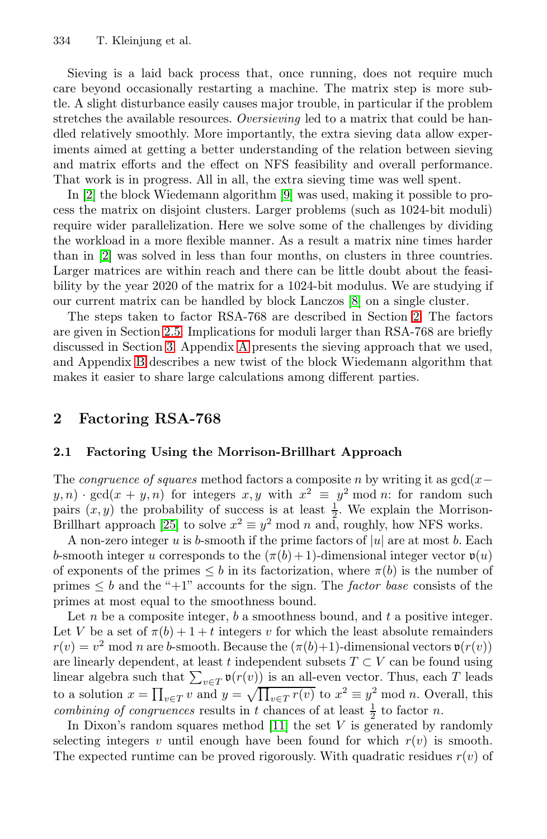Sieving is a laid b[ac](#page-11-2)k process that, once running, does not require much care beyond occasionally restarting a machine. The matrix step is more subtle. A slight disturbance easily causes major trouble, in particular if the problem stretches the available resources. *Oversieving* led to a matrix that could be handled relatively smoothly. More importantly, the extra sieving data allow experiments aimed at getting a better understanding of the relation between sieving and matrix efforts and the effect on NFS feasibility and overall performance. That work is in progress. All in all[, t](#page-11-3)he extra sieving time was well spent.

In [2] the block Wiedemann algorithm [9] w[as](#page-1-0) used, making it possible to pro[cess](#page-9-0) the matrix on disjoint clusters. Larger problems (such as 1024-bit moduli) r[eq](#page-10-0)uire wider [pa](#page-13-1)rallelization. Here we solve some of the challenges by dividing the workload in a more flexible manner. As a result a matrix nine times harder than in [2] was solved in less than four months, on clusters in three countries. Larger matrices are within reach and there can be little doubt about the feasibility by the year 2020 of the matrix for a 1024-bit modulus. We are studying if our current matrix can be handled by block Lanczos [8] on a single cluster.

<span id="page-1-0"></span>The steps taken to factor RSA-768 are described in Section 2. The factors are given in Section 2.5. Implications for moduli larger than RSA-768 are briefly discussed in Section 3. Appendix A presents the sieving approach that we used, and Appendix B describes a new twist of the block Wiedemann algorithm that makes it easier to share large calculations among different parties.

## [2](#page-12-1) Factoring RSA-768

#### 2.1 Factoring Using the Morrison-Brillhart Approach

The *congruence of squares* method factors a composite n by writing it as  $gcd(x-\alpha)$  $y, n)$  · gcd $(x + y, n)$  for integers  $x, y$  with  $x^2 \equiv y^2 \mod n$ : for random such pairs  $(x, y)$  the probability of success is at least  $\frac{1}{2}$ . We explain the Morrison-Brillhart approach [25] to solve  $x^2 \equiv y^2 \mod n$  and, roughly, how NFS works.

A non-zero integer u is b-smooth if the prime factors of  $|u|$  are at most b. Each b-smooth integer u corresponds to the  $(\pi(b) + 1)$ -dimensional integer vector  $\mathfrak{v}(u)$ of exponents of the primes  $\leq b$  in its factorization, where  $\pi(b)$  is the number of primes  $\leq b$  and the "+1" accounts for the sign. The *factor base* consists of the primes at most equ[al to](#page-11-4) the smoothness bound.

Let  $n$  be a composite integer,  $b$  a smoothness bound, and  $t$  a positive integer. Let V be a set of  $\pi(b)+1+t$  integers v for which the least absolute remainders  $r(v) = v^2 \mod n$  are b-smooth. Because the  $(\pi(b)+1)$ -dimensional vectors  $\mathfrak{v}(r(v))$ are linearly dependent, at least t independent subsets  $T \subset V$  can be found using linear algebra such that  $\sum_{v \in T} \mathfrak{v}(r(v))$  is an all-even vector. Thus, each T leads to a solution  $x = \prod_{v \in T} v$  and  $y = \sqrt{\prod_{v \in T} r(v)}$  to  $x^2 \equiv y^2 \mod n$ . Overall, this *combining of congruences* results in t chances of at least  $\frac{1}{2}$  to factor n.

In Dixon's random squares method [11] the set  $V$  is generated by randomly selecting integers v until enough have been found for which  $r(v)$  is smooth. The expected runtime can be proved rigorously. With quadratic residues  $r(v)$  of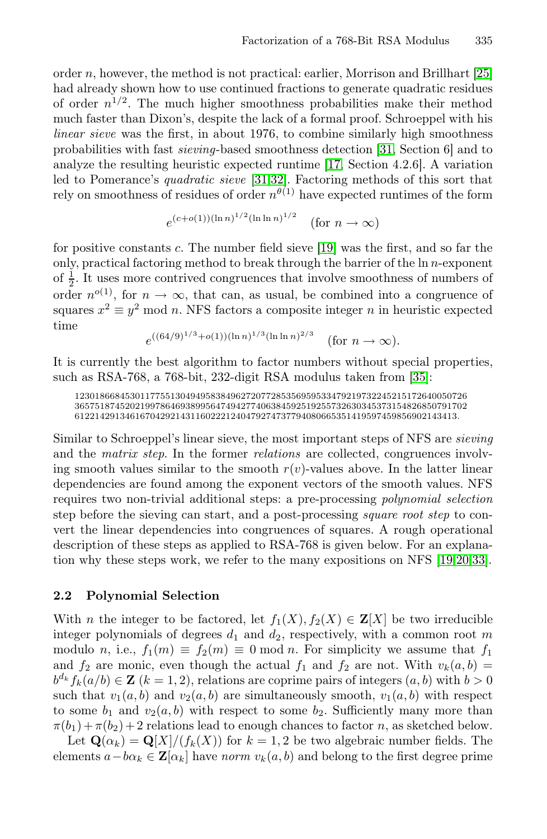ord[e](#page-12-3)r  $n$ , however, [th](#page-12-2)e [m](#page-12-3)ethod is not practical: earlier, Morrison and Brillhart [25] had already shown how to use continued fractions to generate quadratic residues of order  $n^{1/2}$ . The much higher smoothness probabilities make their method much faster than Dixon's, despite the lack of a formal proof. Schroeppel with his *linear sieve* was the first, in [abo](#page-12-0)ut 1976, to combine similarly high smoothness probabilities with fast *sieving*-based smoothness detection [31, Section 6] and to analyze the resulting heuristic expected runtime [17, Section 4.2.6]. A variation led to Pomerance's *quadratic sieve* [31,32]. Factoring methods of this sort that rely on smoothness of residues of order  $n^{\theta(1)}$  have expected runtimes of the form

$$
e^{(c+o(1))(\ln n)^{1/2}(\ln \ln n)^{1/2}}
$$
 (for  $n \to \infty$ )

for positive constants c. The number field sieve [19] was the first, and so far the only, practical factoring method to break thro[ugh](#page-13-0) the barrier of the ln n-exponent of  $\frac{1}{2}$ . It uses more contrived congruences that involve smoothness of numbers of order  $n^{o(1)}$ , for  $n \to \infty$ , that can, as usual, be combined into a congruence of squares  $x^2 \equiv y^2 \mod n$ . NFS factors a composite integer n in heuristic expected time

$$
e^{((64/9)^{1/3} + o(1))(\ln n)^{1/3}(\ln \ln n)^{2/3}}
$$
 (for  $n \to \infty$ ).

It is currently the best algorithm to factor numbers without special properties, such as RSA-768, a 768-bit, 232-digit RSA modulus taken from [35]:

123018668453011775513049495838496272077285356959533479219732245215172640050726 365751874520219978646938995647494277406384592519255732630345373154826850791702 6122142913461670429214311602221240479274737794080665351419597459856902143413.

Similar to Schroeppel's linear sieve, the most impo[rta](#page-12-0)[nt s](#page-12-4)[tep](#page-13-2)s of NFS are *sieving* and the *matrix step*. In the former *relations* are collected, congruences involving smooth values similar to the smooth  $r(v)$ -values above. In the latter linear dependencies are found among the exponent vectors of the smooth values. NFS requires two non-trivial additional steps: a pre-processing *polynomial selection* step before the sieving can start, and a post-processing *square root step* to convert the linear dependencies into congruences of squares. A rough operational description of these steps as applied to RSA-768 is given below. For an explanation why these steps work, we refer to the many expositions on NFS [19,20,33].

#### 2.2 Polynomial Selection

With *n* the integer to be factored, let  $f_1(X), f_2(X) \in \mathbf{Z}[X]$  be two irreducible integer polynomials of degrees  $d_1$  and  $d_2$ , respectively, with a common root m modulo n, i.e.,  $f_1(m) \equiv f_2(m) \equiv 0 \mod n$ . For simplicity we assume that  $f_1$ and  $f_2$  are monic, even though the actual  $f_1$  and  $f_2$  are not. With  $v_k(a, b)$  $b^{d_k} f_k(a/b) \in \mathbf{Z}$  ( $k = 1, 2$ ), relations are coprime pairs of integers  $(a, b)$  with  $b > 0$ such that  $v_1(a, b)$  and  $v_2(a, b)$  are simultaneously smooth,  $v_1(a, b)$  with respect to some  $b_1$  and  $v_2(a, b)$  with respect to some  $b_2$ . Sufficiently many more than  $\pi(b_1)+\pi(b_2)+2$  relations lead to enough chances to factor n, as sketched below.

Let  $\mathbf{Q}(\alpha_k) = \mathbf{Q}[X]/(f_k(X))$  for  $k = 1, 2$  be two algebraic number fields. The elements  $a-b\alpha_k \in \mathbf{Z}[\alpha_k]$  have *norm*  $v_k(a, b)$  and belong to the first degree prime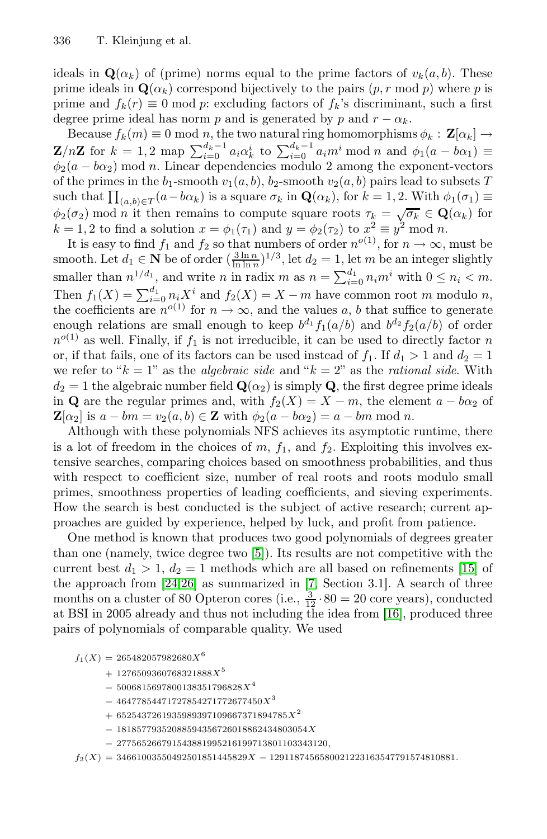ideals in  $\mathbf{Q}(\alpha_k)$  of (prime) norms equal to the prime factors of  $v_k(a, b)$ . These prime ideals in  $\mathbf{Q}(\alpha_k)$  correspond bijectively to the pairs  $(p, r \mod p)$  where p is prime and  $f_k(r) \equiv 0 \mod p$ : excluding factors of  $f_k$ 's discriminant, such a first degree prime ideal has norm p and is generated by p and  $r - \alpha_k$ .

Because  $f_k(m) \equiv 0 \mod n$ , the two natural ring homomorphisms  $\phi_k : \mathbf{Z}[\alpha_k] \to$ **Z**/n**Z** for  $k = 1, 2$  map  $\sum_{i=0}^{d_k-1} a_i \alpha_k^i$  to  $\sum_{i=0}^{d_k-1} a_i m^i \text{ mod } n$  and  $\phi_1(a - b\alpha_1) \equiv$  $\phi_2(a - b\alpha_2)$  mod n. Linear dependencies modulo 2 among the exponent-vectors of the primes in the  $b_1$ -smooth  $v_1(a, b)$ ,  $b_2$ -smooth  $v_2(a, b)$  pairs lead to subsets T such that  $\prod_{(a,b)\in T} (a-b\alpha_k)$  is a square  $\sigma_k$  in  $\mathbf{Q}(\alpha_k)$ , for  $k=1,2$ . With  $\phi_1(\sigma_1)$  $φ_2(σ_2)$  mod *n* it then remains to compute square roots  $τ_k = \sqrt{σ_k} ∈ \mathbf{Q}(α_k)$  for  $k = 1, 2$  to find a solution  $x = \phi_1(\tau_1)$  and  $y = \phi_2(\tau_2)$  to  $x^2 \equiv y^2 \mod n$ .

It is easy to find  $f_1$  and  $f_2$  so that numbers of order  $n^{o(1)}$ , for  $n \to \infty$ , must be smooth. Let  $d_1 \in \mathbf{N}$  be of order  $(\frac{3 \ln n}{\ln \ln n})^{1/3}$ , let  $d_2 = 1$ , let m be an integer slightly smaller than  $n^{1/d_1}$ , and write n in radix m as  $n = \sum_{i=0}^{d_1} n_i m^i$  with  $0 \leq n_i < m$ . Then  $f_1(X) = \sum_{i=0}^{d_1} n_i X^i$  and  $f_2(X) = X - m$  have common root m modulo n, the coefficients are  $n^{o(1)}$  for  $n \to \infty$ , and the values a, b that suffice to generate enough relations are small enough to keep  $b^{d_1} f_1(a/b)$  and  $b^{d_2} f_2(a/b)$  of order  $n^{o(1)}$  as well. Finally, if  $f_1$  is not irreducible, it can be used to directly factor n or, if that fails, one of its factors can be used instead of  $f_1$ . If  $d_1 > 1$  and  $d_2 = 1$ we refer to " $k = 1$ " as the *algebraic side* and " $k = 2$ " as the *rational side*. With  $d_2 = 1$  the algebraic number field  $\mathbf{Q}(\alpha_2)$  is simply **Q**, the first degree prime ideals in **Q** are the regular primes and, with  $f_2(X) = X - m$ , the element  $a - b\alpha_2$  of  $\mathbf{Z}[\alpha_2]$  is  $a - bm = v_2(a, b) \in \mathbf{Z}$  with  $\phi_2(a - b\alpha_2) = a - bm \mod n$ .

Although with [th](#page-11-5)ese polynomials NFS achieves its asymptotic runtime, there is a lot of freedom in the choices of  $m$ ,  $f_1$ , and  $f_2$ . E[xplo](#page-12-5)iting this involves ext[ens](#page-12-6)[ive](#page-12-7) searches, comparin[g c](#page-11-6)hoices based on smoothness probabilities, and thus with respect to coefficient size, number of real roots and roots modulo small primes, smoothness properties of leadin[g co](#page-12-8)efficients, and sieving experiments. How the search is best conducted is the subject of active research; current approaches are guided by experience, helped by luck, and profit from patience.

One method is known that produces two good polynomials of degrees greater than one (namely, twice degree two [5]). Its results are not competitive with the current best  $d_1 > 1$ ,  $d_2 = 1$  methods which are all based on refinements [15] of the approach from [24,26] as summarized in [7, Section 3.1]. A search of three months on a cluster of 80 Opteron cores (i.e.,  $\frac{3}{12} \cdot 80 = 20$  core years), conducted at BSI in 2005 already and thus not including the idea from [16], produced three pairs of polynomials of comparable quality. We used

 $f_1(X) = 265482057982680X^6$ 

- $+ 1276509360768321888X<sup>5</sup>$
- $-5006815697800138351796828X<sup>4</sup>$
- $-46477854471727854271772677450X<sup>3</sup>$
- $+ 6525437261935989397109667371894785X^2$
- $-18185779352088594356726018862434803054X$
- <sup>−</sup> <sup>277565266791543881995216199713801103343120</sup>,

 $f_2(X) = 34661003550492501851445829X - 1291187456580021223163547791574810881.$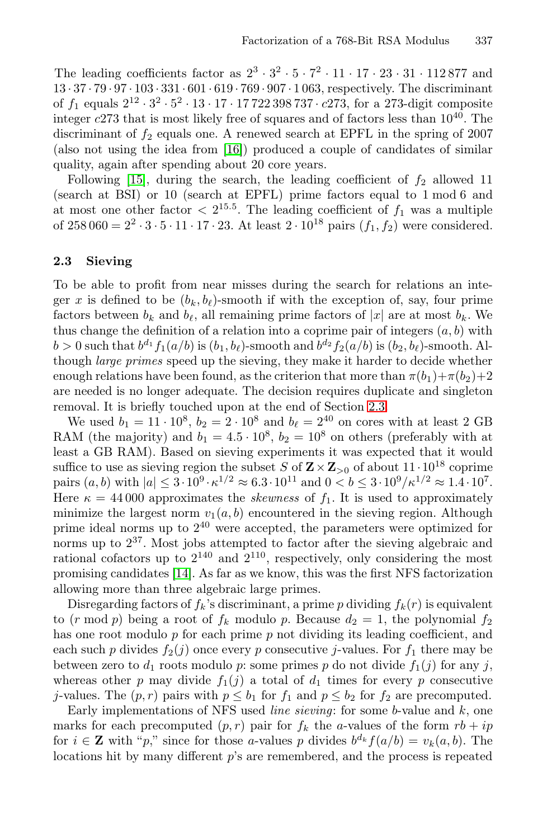The leading coefficients factor as  $2^3 \cdot 3^2 \cdot 5 \cdot 7^2 \cdot 11 \cdot 17 \cdot 23 \cdot 31 \cdot 112877$  and 13 · 37 · 79 · 97 · 103 · 331 · 601 · 619 · 769 · 907 · 1 063, respectively. The discriminant of  $f_1$  equals  $2^{12} \cdot 3^2 \cdot 5^2 \cdot 13 \cdot 17 \cdot 17722398737 \cdot c273$ , for a 273-digit composite integer  $c273$  that is most likely free of squares and of factors less than  $10^{40}$ . The discriminant of  $f_2$  equals one. A renewed search at EPFL in the spring of 2007 (also not using the idea from [16]) produced a couple of candidates of similar quality, again after spending about 20 core years.

<span id="page-4-0"></span>Following [15], during the search, the leading coefficient of  $f_2$  allowed 11 (search at BSI) or 10 (search at EPFL) prime factors equal to 1 mod 6 and at most one other factor  $\langle 2^{15.5} \rangle$ . The leading coefficient of  $f_1$  was a multiple of 258 060 =  $2^2 \cdot 3 \cdot 5 \cdot 11 \cdot 17 \cdot 23$ . At least  $2 \cdot 10^{18}$  pairs  $(f_1, f_2)$  were considered.

#### 2.3 Sieving

To be able to profit from near misse[s du](#page-4-0)ring the search for relations an integer x is defined to be  $(b_k, b_\ell)$ -smooth if with the exception of, say, four prime factors between  $b_k$  and  $b_\ell$ , all remaining prime factors of |x| are at most  $b_k$ . We thus change the definition of a relation into a coprime pair of integers  $(a, b)$  with  $b > 0$  such that  $b^{d_1} f_1(a/b)$  is  $(b_1, b_\ell)$ -smooth and  $b^{d_2} f_2(a/b)$  is  $(b_2, b_\ell)$ -smooth. Although *large primes* speed up the sieving, they make it harder to decide whether enough relations have been found, as the criterion that more than  $\pi(b_1)+\pi(b_2)+2$ are needed is no longer adequate. The decision requires duplicate and singleton removal. It is briefly touched upon at the end of Section 2.3.

We used  $b_1 = 11 \cdot 10^8$ ,  $b_2 = 2 \cdot 10^8$  and  $b_{\ell} = 2^{40}$  on cores with at least 2 GB RAM (the majority) and  $b_1 = 4.5 \cdot 10^8$ ,  $b_2 = 10^8$  on others (preferably with at lea[st a](#page-12-9) GB RAM). Based on sieving experiments it was expected that it would suffice to use as sieving region the subset S of  $\mathbf{Z} \times \mathbf{Z}_{>0}$  of about  $11 \cdot 10^{18}$  coprime pairs  $(a, b)$  with  $|a| \leq 3 \cdot 10^9 \cdot \kappa^{1/2} \approx 6.3 \cdot 10^{11}$  and  $0 < b \leq 3 \cdot 10^9 / \kappa^{1/2} \approx 1.4 \cdot 10^7$ . Here  $\kappa = 44000$  approximates the *skewness* of  $f_1$ . It is used to approximately minimize the largest norm  $v_1(a, b)$  encountered in the sieving region. Although prime ideal norms up to  $2^{40}$  were accepted, the parameters were optimized for norms up to  $2^{37}$ . Most jobs attempted to factor after the sieving algebraic and rational cofactors up to  $2^{140}$  and  $2^{110}$ , respectively, only considering the most promising candidates [14]. As far as we know, this was the first NFS factorization allowing more than three algebraic large primes.

Disregarding factors of  $f_k$ 's discriminant, a prime p dividing  $f_k(r)$  is equivalent to  $(r \mod p)$  being a root of  $f_k$  modulo p. Because  $d_2 = 1$ , the polynomial  $f_2$ has one root modulo p for each prime p not dividing its leading coefficient, and each such p divides  $f_2(j)$  once every p consecutive j-values. For  $f_1$  there may be between zero to  $d_1$  roots modulo p: some primes p do not divide  $f_1(j)$  for any j, whereas other p may divide  $f_1(j)$  a total of  $d_1$  times for every p consecutive j-values. The  $(p, r)$  pairs with  $p \leq b_1$  for  $f_1$  and  $p \leq b_2$  for  $f_2$  are precomputed.

Early implementations of NFS used *line sieving*: for some b-value and k, one marks for each precomputed  $(p, r)$  pair for  $f_k$  the a-values of the form  $rb + ip$ for  $i \in \mathbf{Z}$  with "p," since for those a-values p divides  $b^{d_k} f(a/b) = v_k(a, b)$ . The locations hit by many different p's are remembered, and the process is repeated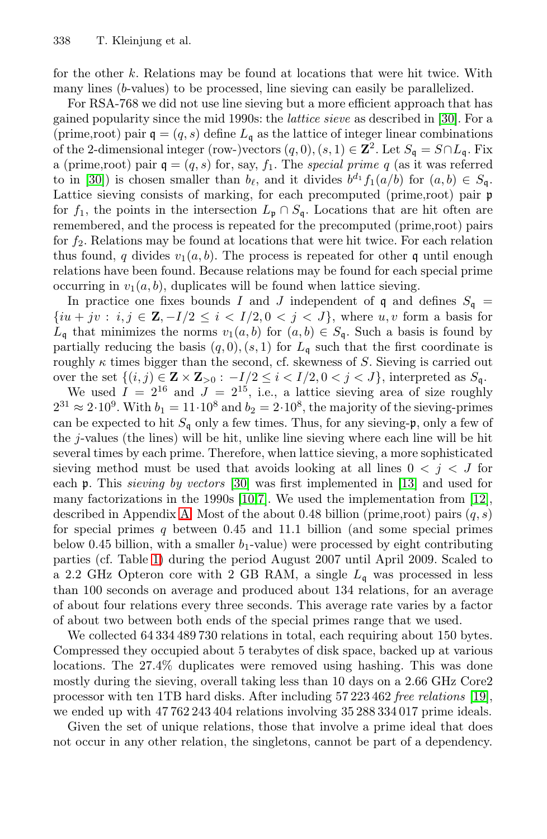for the other k. Relations may be found at locations that were hit twice. With many lines (b-values) to be processed, line sieving can easily be parallelized.

For RSA-768 we did not use line sieving but a more efficient approach that has gained popularity since the mid 1990s: the *lattice sieve* as described in [30]. For a (prime,root) pair  $q = (q, s)$  define  $L_q$  as the lattice of integer linear combinations of the 2-dimensional integer (row-)vectors  $(q, 0), (s, 1) \in \mathbb{Z}^2$ . Let  $S_q = S \cap L_q$ . Fix a (prime,root) pair  $q = (q, s)$  for, say,  $f_1$ . The *special prime* q (as it was referred to in [30]) is chosen smaller than  $b_{\ell}$ , and it divides  $b^{d_1} f_1(a/b)$  for  $(a, b) \in S_{\mathfrak{a}}$ . Lattice sieving consists of marking, for each precomputed (prime,root) pair p for  $f_1$ , the points in the intersection  $L_p \cap S_q$ . Locations that are hit often are remembered, and the process is repeated for the precomputed (prime,root) pairs for  $f_2$ . Relations may be found at locations that were hit twice. For each relation thus found, q divides  $v_1(a, b)$ . The process is repeated for other q until enough relations have been found. Because relations may be found for each special prime occurring in  $v_1(a, b)$ , duplicates will be found when lattice sieving.

In practice one fixes bounds I and J independent of q and defines  $S_q$  =  $\{iu + jv : i, j \in \mathbb{Z}, -I/2 \leq i < I/2, 0 < j < J\}$ , where  $u, v$  form a basis for  $L_{\mathfrak{q}}$  that minimizes the norms  $v_1(a, b)$  for  $(a, b) \in S_{\mathfrak{q}}$ . Such a basis is found by partially reducing the basis  $(q, 0), (s, 1)$  for  $L_q$  such that the first coordinate is roughly  $\kappa$  ti[mes](#page-12-10) bigger than the second, cf. [skew](#page-12-11)ness of S. Sieving is carried out over the set  $\{(i, j) \in \mathbf{Z} \times \mathbf{Z}_{>0} : -I/2 \leq i < I/2, 0 < j < J\}$  $\{(i, j) \in \mathbf{Z} \times \mathbf{Z}_{>0} : -I/2 \leq i < I/2, 0 < j < J\}$  $\{(i, j) \in \mathbf{Z} \times \mathbf{Z}_{>0} : -I/2 \leq i < I/2, 0 < j < J\}$  $\{(i, j) \in \mathbf{Z} \times \mathbf{Z}_{>0} : -I/2 \leq i < I/2, 0 < j < J\}$  $\{(i, j) \in \mathbf{Z} \times \mathbf{Z}_{>0} : -I/2 \leq i < I/2, 0 < j < J\}$ , interpreted as  $S_q$ .

[We](#page-13-1) used  $I = 2^{16}$  and  $J = 2^{15}$ , i.e., a lattice sieving area of size roughly  $2^{31} \approx 2 \cdot 10^9$ . With  $b_1 = 11 \cdot 10^8$  and  $b_2 = 2 \cdot 10^8$ , the majority of the sieving-primes can be expected to hit  $S_q$  only a few times. Thus, for any sieving-p, only a few of [t](#page-6-0)he j-values (the lines) will be hit, unlike line sieving where each line will be hit several times by each prime. Therefore, when lattice sieving, a more sophisticated sieving method must be used that avoids looking at all lines  $0 < j < J$  for each p. This *sieving by vectors* [30] was first implemented in [13] and used for many factorizations in the 1990s [10,7]. We used the implementation from [12], described in Appendix A. Most of the about 0.48 billion (prime, root) pairs  $(q, s)$ for special primes  $q$  between 0.45 and 11.1 billion (and some special primes below 0.45 billion, with a smaller  $b_1$ -value) were processed by eight contributing parties (cf. Table 1) during the period August 2007 until April 2009. Scaled to a 2.2 GHz Opteron core [w](#page-12-0)ith 2 GB RAM, a single  $L<sub>q</sub>$  was processed in less than 100 seconds on average and produced about 134 relations, for an average of about four relations every three seconds. This average rate varies by a factor of about two between both ends of the special primes range that we used.

We collected 64 334 489 730 relations in total, each requiring about 150 bytes. Compressed they occupied about 5 terabytes of disk space, backed up at various locations. The 27.4% duplicates were removed using hashing. This was done mostly during the sieving, overall taking less than 10 days on a 2.66 GHz Core2 processor with ten 1TB hard disks. After including 57 223 462 *free relations* [19], we ended up with 47 762 243 404 relations involving 35 288 334 017 prime ideals.

Given the set of unique relations, those that involve a prime ideal that does not occur in any other relation, the singletons, cannot be part of a dependency.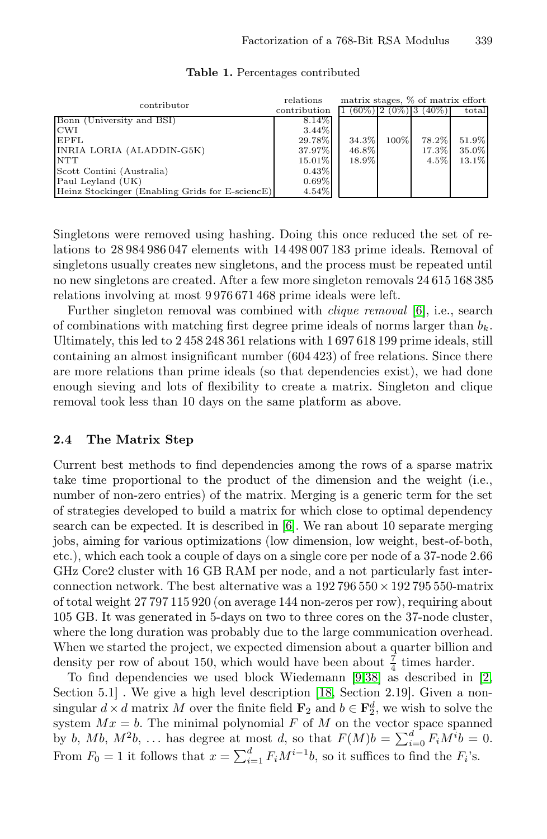<span id="page-6-0"></span>

| contributor                                     | relations    | matrix stages, % of matrix effort |         |                               |       |
|-------------------------------------------------|--------------|-----------------------------------|---------|-------------------------------|-------|
|                                                 | contribution |                                   |         | $(60\%)$ 2 $(0\%)$ 3 $(40\%)$ | total |
| Bonn (University and BSI)                       | 8.14\%       |                                   |         |                               |       |
| <b>CWI</b>                                      | $3.44\%$     |                                   |         |                               |       |
| EPFL                                            | 29.78%       | 34.3%                             | $100\%$ | 78.2%                         | 51.9% |
| INRIA LORIA (ALADDIN-G5K)                       | 37.97%       | 46.8%                             |         | 17.3%                         | 35.0% |
| <b>NTT</b>                                      | 15.01%       | 18.9%                             |         | $4.5\%$                       | 13.1% |
| Scott Contini (Australia)                       | 0.43%        |                                   |         |                               |       |
| Paul Leyland (UK)                               | $0.69\%$     |                                   |         |                               |       |
| Heinz Stockinger (Enabling Grids for E-sciencE) | 4.54%        |                                   |         |                               |       |

Table 1. Percentages contributed

Singletons were removed using hashing. Doing this once reduced the set of relations to 28 984 986 047 elements with 14 498 007 183 prime ideals. Removal of singletons usually creates new singletons, and the process must be repeated until no new singletons are created. After a few more singleton removals 24 615 168 385 relations involving at most 9 976 671 468 prime ideals were left.

<span id="page-6-1"></span>Further singleton removal was combined with *clique removal* [6], i.e., search of combinations with matching first degree prime ideals of norms larger than  $b_k$ . Ultimately, this led to 2 458 248 361 relations with 1 697 618 199 prime ideals, still containing an almost insignificant number (604 423) of free relations. Since there are more relations than prime ideals (so that dependencies exist), we had done enough sieving and lots of flexibility to create a matrix. Singleton and clique removal took less than [10](#page-11-9) days on the same platform as above.

### 2.4 The Matrix Step

Current best methods to find dependencies among the rows of a sparse matrix take time proportional to the product of the dimension and the weight (i.e., number of non-zero entries) of the matrix. Merging is a generic term for the set of strategies developed to build a matrix for which close to optimal dependency search can be expected. It is described in [6]. We ran about 10 separate merging jobs, aiming for various optimizations (low dimension, low weight, best-of-both, etc.), which each took a couple of da[ys](#page-11-2) [on](#page-13-3) a single core per [nod](#page-11-1)e of a 37-node 2.66 GHz Core2 cluster with 16 G[B R](#page-12-12)AM per node, and a not particularly fast interconnection network. The best alternative was a  $192\,796\,550 \times 192\,795\,550$ -matrix of total weight 27 797 115 920 (on average 144 non-zeros per row), requiring about 105 GB. It was generated in 5-days on two to three cores on the 37-node cluster, where the long duration was probably due to the large communication overhead. When we started the project, we expected dimension about a quarter billion and density per row of about 150, which would have been about  $\frac{7}{4}$  times harder.

To find dependencies we used block Wiedemann [9,38] as described in [2, Section 5.1. We give a high level description [18, Section 2.19]. Given a nonsingular  $d \times d$  matrix M over the finite field  $\mathbf{F}_2$  and  $b \in \mathbf{F}_2^d$ , we wish to solve the system  $Mx = b$ . The minimal polynomial F of M on the vector space spanned by b,  $Mb, M<sup>2</sup>b, ...$  has degree at most d, so that  $F(M)b = \sum_{i=0}^{d} F_iM^ib = 0$ . From  $F_0 = 1$  it follows that  $x = \sum_{i=1}^d F_i M^{i-1}b$ , so it suffices to find the  $F_i$ 's.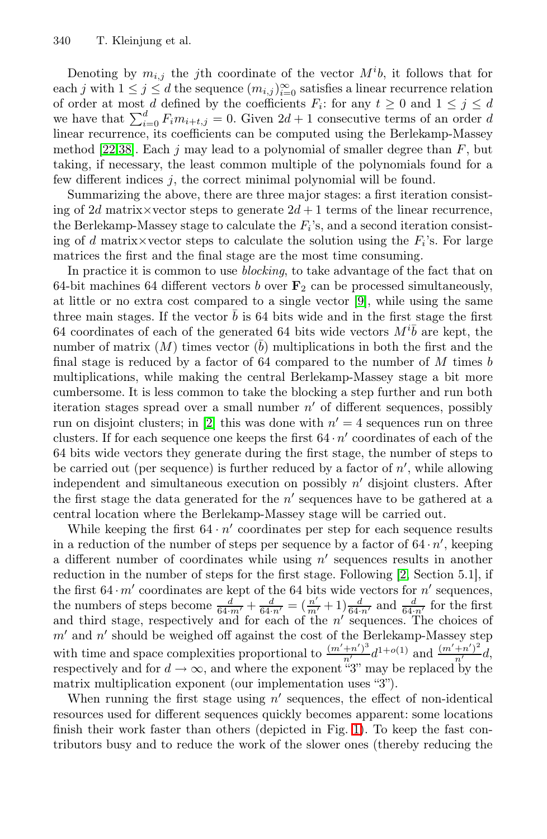Denoting by  $m_{i,j}$  the j<sup>th</sup> coordinate of the vector  $M^i b$ , it follows that for each j with  $1 \leq j \leq d$  the sequence  $(m_{i,j})_{i=0}^{\infty}$  satisfies a linear recurrence relation of order at most d defined by the coefficients  $F_i$ : for any  $t \geq 0$  and  $1 \leq j \leq d$ we have that  $\sum_{i=0}^{d} F_i m_{i+t,j} = 0$ . Given  $2d + 1$  consecutive terms of an order d linear recurrence, its coefficients can be computed using the Berlekamp-Massey method [22,38]. Each j may lead to a polynomial of smaller degree than  $F$ , but taking, if necessary, the least common multiple of the polynomials found for a few different indices  $j$ , the correct [min](#page-11-2)imal polynomial will be found.

Summarizing the above, there are three major stages: a first iteration consisting of 2d matrix×vector steps to generate  $2d + 1$  terms of the linear recurrence, the Berlekamp-Massey stage to calculate the  $F_i$ 's, and a second iteration consisting of d matrix×vector steps to calculate the solution using the  $F_i$ 's. For large matrices the first and the final stage are the most time consuming.

In practice it is common to use *blocking*, to take advantage of the fact that on 64-bit machines 64 different vectors b over  $\mathbf{F}_2$  can be processed simultaneously, at little [or](#page-11-1) no extra cost compared to a single vector [9], while using the same three main stages. If the vector  $\bar{b}$  is 64 bits wide and in the first stage the first 64 coordinates of each of the generated 64 bits wide vectors  $M^{\prime}b$  are kept, the number of matrix  $(M)$  times vector  $(\overline{b})$  multiplications in both the first and the final stage is reduced by a factor of  $64$  compared to the number of  $M$  times  $b$ multiplications, while making the central Berlekamp-Massey stage a bit more cumbersome. It is less common to take the blocking a step further and run both iteration stages spread over a small number  $n'$  of different sequences, possibly run on disjoint clusters; in [2] this was done with  $n' = 4$  sequences run on three clusters. If for each sequence one keeps the first  $64 \cdot n'$  coordinates of each of the 64 bits wide vectors they generate during t[he](#page-11-1) first stage, the number of steps to be carried out (per sequence) is further reduced by a factor of  $n'$ , while allowing independent and simultaneous execution on possibly  $n'$  disjoint clusters. After the first stage the data generated for the  $n'$  sequences have to be gathered at a central location where the Berlekamp-Massey stage will be carried out.

While keeping the first  $64 \cdot n'$  coordinates per step for each sequence results in a reduction of the number of steps per sequence by a factor of  $64 \cdot n'$ , keeping a different number of coordinates while using  $n'$  sequences results in another reduction in the number of steps for the first stage. Following [2, Section 5.1], if the first  $64 \cdot m'$  coordinates are kept of the 64 bits wide vectors for  $n'$  sequences, the numbers of steps become  $\frac{d}{64 \cdot m'} + \frac{d}{64 \cdot n'} = (\frac{n'}{m'} + 1) \frac{d}{64 \cdot n'}$  $\frac{d}{64 \cdot m'} + \frac{d}{64 \cdot n'} = (\frac{n'}{m'} + 1) \frac{d}{64 \cdot n'}$  $\frac{d}{64 \cdot m'} + \frac{d}{64 \cdot n'} = (\frac{n'}{m'} + 1) \frac{d}{64 \cdot n'}$  and  $\frac{d}{64 \cdot n'}$  for the first and third stage, respectively and for each of the  $n'$  sequences. The choices of  $m'$  and  $n'$  should be weighed off against the cost of the Berlekamp-Massey step with time and space complexities proportional to  $\frac{(m'+n')^3}{n'}d^{1+o(1)}$  and  $\frac{(m'+n')^2}{n'}d$ , respectively and for  $d \to \infty$ , and where the exponent "3" may be replaced by the matrix multiplication exponent (our implementation uses "3").

When running the first stage using  $n'$  sequences, the effect of non-identical resources used for different sequences quickly becomes apparent: some locations finish their work faster than others (depicted in Fig. 1). To keep the fast contributors busy and to reduce the work of the slower ones (thereby reducing the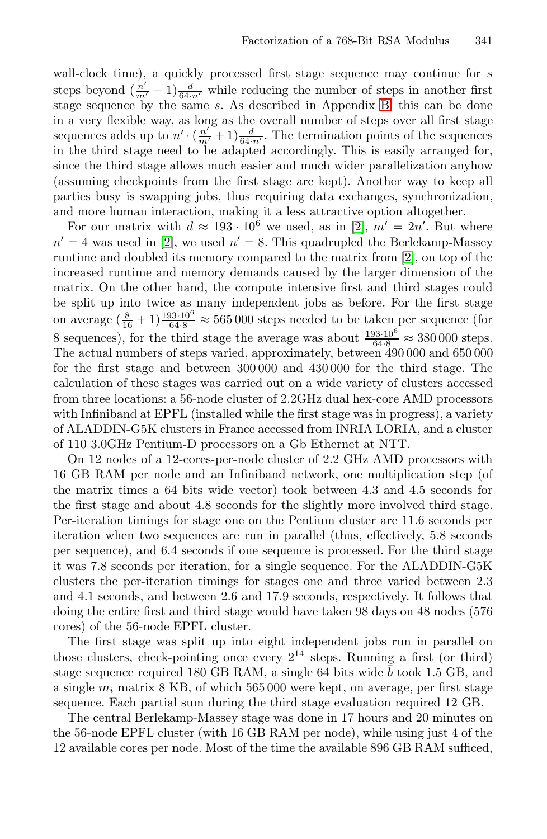wall-clock time), a quickly processed first stage sequence may continue for  $s$ steps beyond  $(\frac{n'}{m'}+1)\frac{d}{64\cdot n'}$  while reducing the number of steps in another first stage sequence by the same s. As [de](#page-11-1)scribed in Appendix B, this can be done i[n](#page-11-1) a very flexible way, as long as the overall number of steps over all first stage sequences adds up to  $n' \cdot (\frac{n'}{m'}+1) \frac{d}{64\cdot n'}$ . The [te](#page-11-1)rmination points of the sequences in the third stage need to be adapted accordingly. This is easily arranged for, since the third stage allows much easier and much wider parallelization anyhow (assuming checkpoints from the first stage are kept). Another way to keep all parties busy is swapping jobs, thus requiring data exchanges, synchronization, and more human interaction, making it a less attractive option altogether.

For our matrix with  $d \approx 193 \cdot 10^6$  we used, as in [2],  $m' = 2n'$ . But where  $n' = 4$  was used in [2], we used  $n' = 8$ . This quadrupled the Berlekamp-Massey runtime and doubled its memory compared to the matrix from [2], on top of the increased runtime and memory demands caused by the larger dimension of the matrix. On the other hand, the compute intensive first and third stages could be split up into twice as many independent jobs as before. For the first stage on average  $(\frac{8}{16}+1)\frac{193\cdot 10^6}{64\cdot 8} \approx 565\,000$  steps needed to be taken per sequence (for 8 sequences), for the third stage the average was about  $\frac{193 \cdot 10^6}{64 \cdot 8} \approx 380\,000$  steps. The actual numbers of steps varied, approximately, between 490 000 and 650 000 for the first stage and between 300 000 and 430 000 for the third stage. The calculation of these stages was carried out on a wide variety of clusters accessed from three locations: a 56-node cluster of 2.2GHz dual hex-core AMD processors with Infiniband at EPFL (installed while the first stage was in progress), a variety of ALADDIN-G5K clusters in France accessed from INRIA LORIA, and a cluster of 110 3.0GHz Pentium-D processors on a Gb Ethernet at NTT.

On 12 nodes of a 12-cores-per-node cluster of 2.2 GHz AMD processors with 16 GB RAM per node and an Infiniband network, one multiplication step (of the matrix times a 64 bits wide vector) took between 4.3 and 4.5 seconds for the first stage and about 4.8 seconds for the slightly more involved third stage. Per-iteration timings for stage one on the Pentium cluster are 11.6 seconds per iteration when two sequences are run in parallel (thus, effectively, 5.8 seconds per sequence), and 6.4 seconds if one sequence is processed. For the third stage it was 7.8 seconds per iteration, for a single sequence. For the ALADDIN-G5K clusters the per-iteration timings for stages one and three varied between 2.3 and 4.1 seconds, and between 2.6 and 17.9 seconds, respectively. It follows that doing the entire first and third stage would have taken 98 days on 48 nodes (576 cores) of the 56-node EPFL cluster.

The first stage was split up into eight independent jobs run in parallel on those clusters, check-pointing once every  $2^{14}$  steps. Running a first (or third) stage sequence required 180 GB RAM, a single 64 bits wide  $\bar{b}$  took 1.5 GB, and a single  $m_i$  matrix 8 KB, of which 565 000 were kept, on average, per first stage sequence. Each partial sum during the third stage evaluation required 12 GB.

The central Berlekamp-Massey stage was done in 17 hours and 20 minutes on the 56-node EPFL cluster (with 16 GB RAM per node), while using just 4 of the 12 available cores per node. Most of the time the available 896 GB RAM sufficed,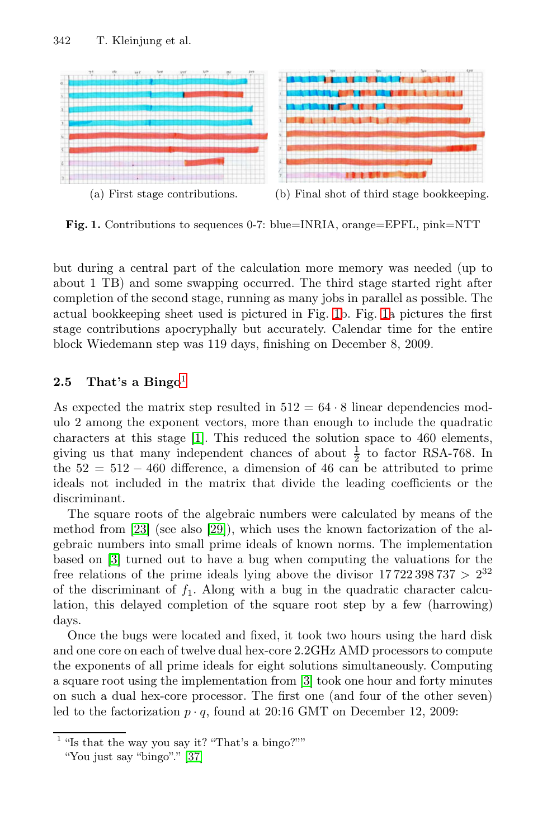<span id="page-9-1"></span>

Fig. 1. Contributions to sequences 0-7: blue=INRIA, orange=EPFL, pink=NTT

<span id="page-9-0"></span>but [d](#page-9-2)uring a central part of the calculation more memory was needed (up to about 1 TB) and some swapping occurred. The third stage started right after completion of the second stage, running as many jobs in parallel as possible. The actual [b](#page-11-10)ookkeeping sheet used is pictured in Fig. 1b. Fig. 1a pictures the first stage contributions apocryphally but accurately. Calendar time for the entire block Wiedemann step was 119 days, finishing on December 8, 2009.

### 2.5 That's a Bingo<sup>1</sup>

As expec[ted](#page-12-13) the matrix step resulted in  $512 = 64 \cdot 8$  linear dependencies modulo 2 among the exponent vectors, more than enough to include the quadratic characters at this stage [1]. This reduced the solution space to 460 elements, giving us that many independent chances of about  $\frac{1}{2}$  to factor RSA-768. In the  $52 = 512 - 460$  difference, a dimension of 46 can be attributed to prime ideals not included in the matrix that divide the leading coefficients or the discriminant.

The square roots of the algebraic numbers were calculated by means of the method from [23] (see also [29]), which uses the known factorization of the algebraic numbers into small prime ideals of known norms. The implementation based on [3] turned out t[o](#page-11-11) have a bug when computing the valuations for the free relations of the prime ideals lying above the divisor  $17722398737 > 2^{32}$ of the discriminant of  $f_1$ . Along with a bug in the quadratic character calculation, this delayed completion of the square root step by a few (harrowing) days.

<span id="page-9-2"></span>O[nce](#page-13-4) the bugs were located and fixed, it took two hours using the hard disk and one core on each of twelve dual hex-core 2.2GHz AMD processors to compute the exponents of all prime ideals for eight solutions simultaneously. Computing a square root using the implementation from [3] took one hour and forty minutes on such a dual hex-core processor. The first one (and four of the other seven) led to the factorization  $p \cdot q$ , found at 20:16 GMT on December 12, 2009:

<sup>&</sup>lt;sup>1</sup> "Is that the way you say it? "That's a bingo?""

<sup>&</sup>quot;You just say "bingo"." [37]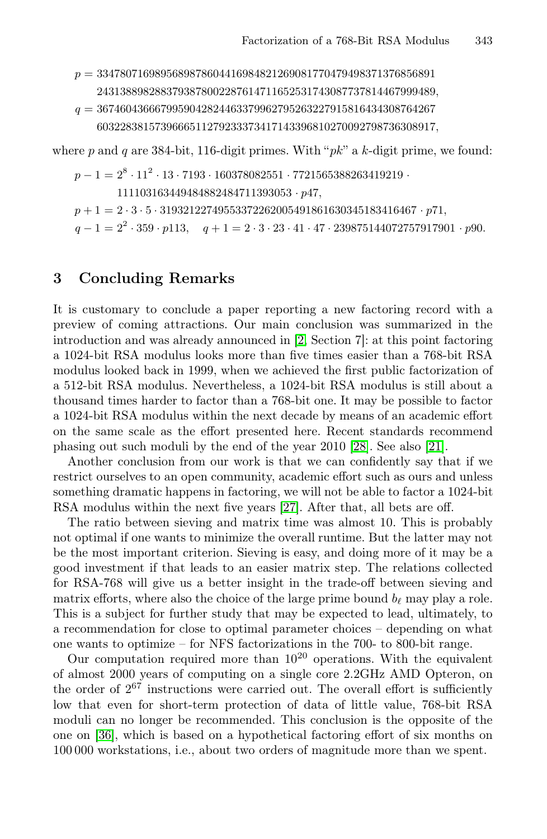*p* = 3347807169895689878604416984821269081770479498371376856891 2431388982883793878002287614711652531743087737814467999489*, q* = 3674604366679959042824463379962795263227915816434308764267 6032283815739666511279233373417143396810270092798736308917*,*

<span id="page-10-0"></span>where p and q are 384-bit, 116-digit primes. With " $pk$ " a k-digit prime, we found:

*p* − 1 =  $2^8 \cdot 11^2 \cdot 13 \cdot 7193 \cdot 160378082551 \cdot 7721565388263419219$  *·* 111103163449484882484711393053 *· p*47*, p* +1=2 *·* 3 *·* 5 *·* 31932122749553372262005491861630345183416467 *· p*71*, q* − 1 = 2<sup>2</sup> · 359 · *p*113*, q* + 1 = 2 · 3 · 23 · 41 · 47 · 239875144072757917901 · *p*90*.* 

## 3 Concluding Remarks

It is customary to conclude a paper reporting a new factoring record with a preview of coming attractions. O[ur m](#page-12-14)ain conc[lusi](#page-12-15)on was summarized in the introduction and was already announced in [2, Section 7]: at this point factoring a 1024-bit RSA modulus looks more than five times easier than a 768-bit RSA modulus looked back in 1999, when we achieved the first public factorization of a 512-bit RSA modul[us. N](#page-12-16)evertheless, a 1024-bit RSA modulus is still about a thousand times harder to factor than a 768-bit one. It may be possible to factor a 1024-bit RSA modulus within the next decade by means of an academic effort on the same scale as the effort presented here. Recent standards recommend phasing out such moduli by the end of the year 2010 [28]. See also [21].

Another conclusion from our work is that we can confidently say that if we restrict ourselves to an open community, academic effort such as ours and unless something dramatic happens in factoring, we will not be able to factor a 1024-bit RSA modulus within the next five years [27]. After that, all bets are off.

The ratio between sieving and matrix time was almost 10. This is probably not optimal if one wants to minimize the overall runtime. But the latter may not be the most important criterion. Sieving is easy, and doing more of it may be a good investment if that leads to an easier matrix step. The relations collected for RSA-768 will give us a better insight in the trade-off between sieving and matrix efforts, where also the choice of the large prime bound  $b_{\ell}$  may play a role. This is a subject for further study that may be expected to lead, ultimately, to a recommendation for close to optimal parameter choices – depending on what one wants to optimize – for NFS factorizations in the 700- to 800-bit range.

Our computation required more than  $10^{20}$  operations. With the equivalent of almost 2000 years of computing on a single core 2.2GHz AMD Opteron, on the order of  $2^{67}$  instructions were carried out. The overall effort is sufficiently low that even for short-term protection of data of little value, 768-bit RSA moduli can no longer be recommended. This conclusion is the opposite of the one on [36], which is based on a hypothetical factoring effort of six months on 100 000 workstations, i.e., about two orders of magnitude more than we spent.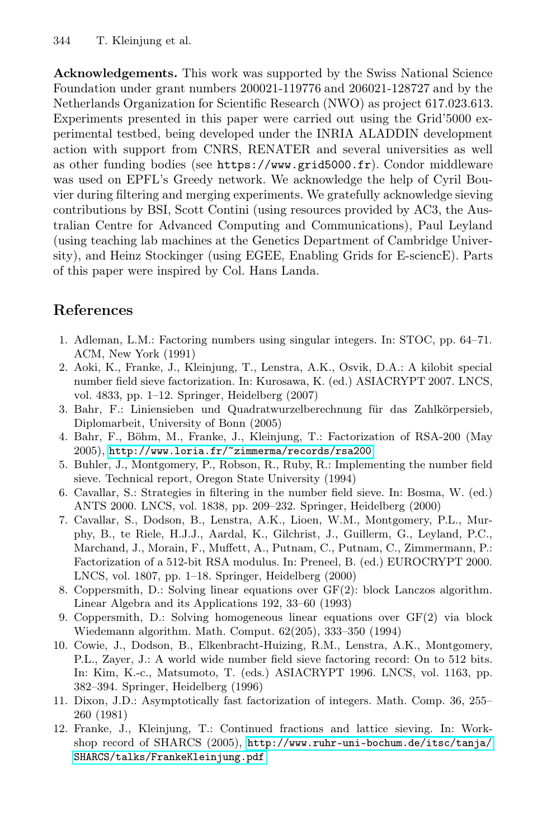Acknowledgements. This work was supported by the Swiss National Science Foundation under grant numbers 200021-119776 and 206021-128727 and by the Netherlands Organization for Scientific Research (NWO) as project 617.023.613. Experiments presented in this paper were carried out using the Grid'5000 experimental testbed, being developed under the INRIA ALADDIN development action with support from CNRS, RENATER and several universities as well as other funding bodies (see https://www.grid5000.fr). Condor middleware was used on EPFL's Greedy network. We acknowledge the help of Cyril Bouvier during filtering and merging experiments. We gratefully acknowledge sieving contributions by BSI, Scott Contini (using resources provided by AC3, the Australian Centre for Advanced Computing and Communications), Paul Leyland (using teaching lab machines at the Genetics Department of Cambridge University), and Heinz Stockinger (using EGEE, Enabling Grids for E-sciencE). Parts of this paper were inspired by Col. Hans Landa.

## <span id="page-11-11"></span><span id="page-11-10"></span><span id="page-11-5"></span><span id="page-11-1"></span><span id="page-11-0"></span>References

- [1.](http://www.loria.fr/~zimmerma/records/rsa200) [Adleman,](http://www.loria.fr/~zimmerma/records/rsa200) [L.M.:](http://www.loria.fr/~zimmerma/records/rsa200) [Factoring](http://www.loria.fr/~zimmerma/records/rsa200) [numbers](http://www.loria.fr/~zimmerma/records/rsa200) [us](http://www.loria.fr/~zimmerma/records/rsa200)ing singular integers. In: STOC, pp. 64–71. ACM, New York (1991)
- <span id="page-11-9"></span>2. Aoki, K., Franke, J., Kleinjung, T., Lenstra, A.K., Osvik, D.A.: A kilobit special number field sieve factorization. In: Kurosawa, K. (ed.) ASIACRYPT 2007. LNCS, vol. 4833, pp. 1–12. Springer, Heidelberg (2007)
- <span id="page-11-6"></span>3. Bahr, F.: Liniensieben und Quadratwurzelberechnung für das Zahlkörpersieb, Diplomarbeit, University of Bonn (2005)
- 4. Bahr, F., Böhm, M., Franke, J., Kleinjung, T.: Factorization of RSA-200 (May 2005), http://www.loria.fr/~zimmerma/records/rsa200
- <span id="page-11-3"></span>5. Buhler, J., Montgomery, P., Robson, R., Ruby, R.: Implementing the number field sieve. Technical report, Oregon State University (1994)
- <span id="page-11-2"></span>6. Cavallar, S.: Strategies in filtering in the number field sieve. In: Bosma, W. (ed.) ANTS 2000. LNCS, vol. 1838, pp. 209–232. Springer, Heidelberg (2000)
- <span id="page-11-7"></span>7. Cavallar, S., Dodson, B., Lenstra, A.K., Lioen, W.M., Montgomery, P.L., Murphy, B., te Riele, H.J.J., Aardal, K., Gilchrist, J., Guillerm, G., Leyland, P.C., Marchand, J., Morain, F., Muffett, A., Putnam, C., Putnam, C., Zimmermann, P.: Factorization of a 512-bit RSA modulus. In: Preneel, B. (ed.) EUROCRYPT 2000. LNCS, vol. 1807, pp. 1–18. Springer, Heidelberg (2000)
- <span id="page-11-4"></span>8. Coppersmith, D.: Solving linear equations over GF(2): block Lanczos algorithm. Linear Algebra and its Applications 192, 33–60 (1993)
- <span id="page-11-8"></span>9. Coppersmith, D.: Solving homogeneous linear equations over GF(2) via block Wiedemann [algorithm.](http://www.ruhr-uni-bochum.de/itsc/tanja/SHARCS/talks/FrankeKleinjung.pdf) [Math.](http://www.ruhr-uni-bochum.de/itsc/tanja/SHARCS/talks/FrankeKleinjung.pdf) [Comput.](http://www.ruhr-uni-bochum.de/itsc/tanja/SHARCS/talks/FrankeKleinjung.pdf) [62\(205\),](http://www.ruhr-uni-bochum.de/itsc/tanja/SHARCS/talks/FrankeKleinjung.pdf) [333–350](http://www.ruhr-uni-bochum.de/itsc/tanja/SHARCS/talks/FrankeKleinjung.pdf) [\(199](http://www.ruhr-uni-bochum.de/itsc/tanja/SHARCS/talks/FrankeKleinjung.pdf)4)
- [10.](http://www.ruhr-uni-bochum.de/itsc/tanja/SHARCS/talks/FrankeKleinjung.pdf) [Cowie,](http://www.ruhr-uni-bochum.de/itsc/tanja/SHARCS/talks/FrankeKleinjung.pdf) [J.,](http://www.ruhr-uni-bochum.de/itsc/tanja/SHARCS/talks/FrankeKleinjung.pdf) [Dodso](http://www.ruhr-uni-bochum.de/itsc/tanja/SHARCS/talks/FrankeKleinjung.pdf)n, B., Elkenbracht-Huizing, R.M., Lenstra, A.K., Montgomery, P.L., Zayer, J.: A world wide number field sieve factoring record: On to 512 bits. In: Kim, K.-c., Matsumoto, T. (eds.) ASIACRYPT 1996. LNCS, vol. 1163, pp. 382–394. Springer, Heidelberg (1996)
- 11. Dixon, J.D.: Asymptotically fast factorization of integers. Math. Comp. 36, 255– 260 (1981)
- 12. Franke, J., Kleinjung, T.: Continued fractions and lattice sieving. In: Workshop record of SHARCS (2005), http://www.ruhr-uni-bochum.de/itsc/tanja/ SHARCS/talks/FrankeKleinjung.pdf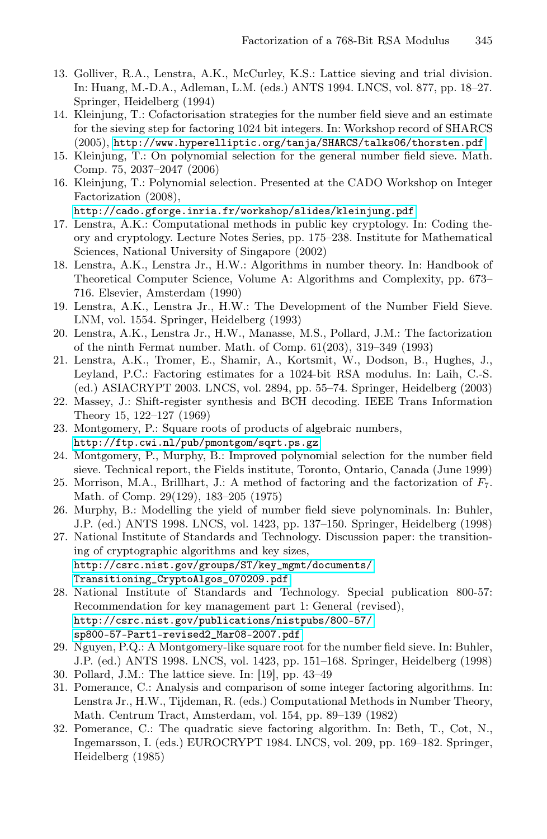- <span id="page-12-11"></span><span id="page-12-9"></span><span id="page-12-8"></span><span id="page-12-5"></span>13. Golliver, R.A., Lenstra, A.K., McCurley, K.S.: Lattice sieving and trial division. [In: Huang, M.-D.A., Adleman, L.M. \(eds.\) ANT](http://cado.gforge.inria.fr/workshop/slides/kleinjung.pdf)S 1994. LNCS, vol. 877, pp. 18–27. Springer, Heidelberg (1994)
- 14. Kleinjung, T.: Cofactorisation strategies for the number field sieve and an estimate for the sieving step for factoring 1024 bit integers. In: Workshop record of SHARCS (2005), http://www.hyperelliptic.org/tanja/SHARCS/talks06/thorsten.pdf
- <span id="page-12-12"></span>15. Kleinjung, T.: On polynomial selection for the general number field sieve. Math. Comp. 75, 2037–2047 (2006)
- <span id="page-12-0"></span>16. Kleinjung, T.: Polynomial selection. Presented at the CADO Workshop on Integer Factorization (2008),

http://cado.gforge.inria.fr/workshop/slides/kleinjung.pdf

- <span id="page-12-15"></span><span id="page-12-4"></span>17. Lenstra, A.K.: Computational methods in public key cryptology. In: Coding theory and cryptology. Lecture Notes Series, pp. 175–238. Institute for Mathematical Sciences, National University of Singapore (2002)
- 18. Lenstra, A.K., Lenstra Jr., H.W.: Algorithms in number theory. In: Handbook of Theoretical Computer Science, Volume A: Algorithms and Complexity, pp. 673– 716. Elsevier, Amsterdam (1990)
- 19. Lenstra, A.K., Lenstra Jr., H.W.: The Development of the Number Field Sieve. [LNM, vol. 1554. Springer, H](http://ftp.cwi.nl/pub/pmontgom/sqrt.ps.gz)eidelberg (1993)
- <span id="page-12-6"></span>20. Lenstra, A.K., Lenstra Jr., H.W., Manasse, M.S., Pollard, J.M.: The factorization of the ninth Fermat number. Math. of Comp. 61(203), 319–349 (1993)
- <span id="page-12-1"></span>21. Lenstra, A.K., Tromer, E., Shamir, A., Kortsmit, W., Dodson, B., Hughes, J., Leyland, P.C.: Factoring estimates for a 1024-bit RSA modulus. In: Laih, C.-S. (ed.) ASIACRYPT 2003. LNCS, vol. 2894, pp. 55–74. Springer, Heidelberg (2003)
- <span id="page-12-16"></span><span id="page-12-7"></span>22. Massey, J.: Shift-register synthesis and BCH decoding. IEEE Trans Information Theory 15, 122–127 (1969)
- 23. Montgomery, P.: Square roots of products of algebraic numbers, [http://ftp.cwi.nl/pub/pmontgom/sq](http://csrc.nist.gov/groups/ST/key_mgmt/documents/Transitioning_CryptoAlgos_070209.pdf)rt.ps.gz
- <span id="page-12-14"></span>[24. Montgomery, P., Murp](http://csrc.nist.gov/groups/ST/key_mgmt/documents/Transitioning_CryptoAlgos_070209.pdf)hy, B.: Improved polynomial selection for the number field sieve. Technical report, the Fields institute, Toronto, Ontario, Canada (June 1999)
- 25. Morrison, M.A., Brillhart, J.: A method of factoring and the factorization of *F*7. Math. of Comp. 29(129), 183–205 (1975)
- <span id="page-12-13"></span>[26.](http://csrc.nist.gov/publications/nistpubs/800-57/sp800-57-Part1-revised2_Mar08-2007.pdf) [Murphy,](http://csrc.nist.gov/publications/nistpubs/800-57/sp800-57-Part1-revised2_Mar08-2007.pdf) [B.:](http://csrc.nist.gov/publications/nistpubs/800-57/sp800-57-Part1-revised2_Mar08-2007.pdf) [Modelling](http://csrc.nist.gov/publications/nistpubs/800-57/sp800-57-Part1-revised2_Mar08-2007.pdf) [the](http://csrc.nist.gov/publications/nistpubs/800-57/sp800-57-Part1-revised2_Mar08-2007.pdf) [yield](http://csrc.nist.gov/publications/nistpubs/800-57/sp800-57-Part1-revised2_Mar08-2007.pdf) [of](http://csrc.nist.gov/publications/nistpubs/800-57/sp800-57-Part1-revised2_Mar08-2007.pdf) [nu](http://csrc.nist.gov/publications/nistpubs/800-57/sp800-57-Part1-revised2_Mar08-2007.pdf)mber field sieve polynominals. In: Buhler, [J.P.](http://csrc.nist.gov/publications/nistpubs/800-57/sp800-57-Part1-revised2_Mar08-2007.pdf) [\(ed.\)](http://csrc.nist.gov/publications/nistpubs/800-57/sp800-57-Part1-revised2_Mar08-2007.pdf) [ANTS](http://csrc.nist.gov/publications/nistpubs/800-57/sp800-57-Part1-revised2_Mar08-2007.pdf) [1998.](http://csrc.nist.gov/publications/nistpubs/800-57/sp800-57-Part1-revised2_Mar08-2007.pdf) [L](http://csrc.nist.gov/publications/nistpubs/800-57/sp800-57-Part1-revised2_Mar08-2007.pdf)NCS, vol. 1423, pp. 137–150. Springer, Heidelberg (1998)
- <span id="page-12-10"></span><span id="page-12-2"></span>27. National Institute of Standards and Technology. Discussion paper: the transitioning of cryptographic algorithms and key sizes, http://csrc.nist.gov/groups/ST/key\_mgmt/documents/ Transitioning\_CryptoAlgos\_070209.pdf
- <span id="page-12-3"></span>28. National Institute of Standards and Technology. Special publication 800-57: Recommendation for key management part 1: General (revised), http://csrc.nist.gov/publications/nistpubs/800-57/ sp800-57-Part1-revised2\_Mar08-2007.pdf
- 29. Nguyen, P.Q.: A Montgomery-like square root for the number field sieve. In: Buhler, J.P. (ed.) ANTS 1998. LNCS, vol. 1423, pp. 151–168. Springer, Heidelberg (1998)
- 30. Pollard, J.M.: The lattice sieve. In: [19], pp. 43–49
- 31. Pomerance, C.: Analysis and comparison of some integer factoring algorithms. In: Lenstra Jr., H.W., Tijdeman, R. (eds.) Computational Methods in Number Theory, Math. Centrum Tract, Amsterdam, vol. 154, pp. 89–139 (1982)
- 32. Pomerance, C.: The quadratic sieve factoring algorithm. In: Beth, T., Cot, N., Ingemarsson, I. (eds.) EUROCRYPT 1984. LNCS, vol. 209, pp. 169–182. Springer, Heidelberg (1985)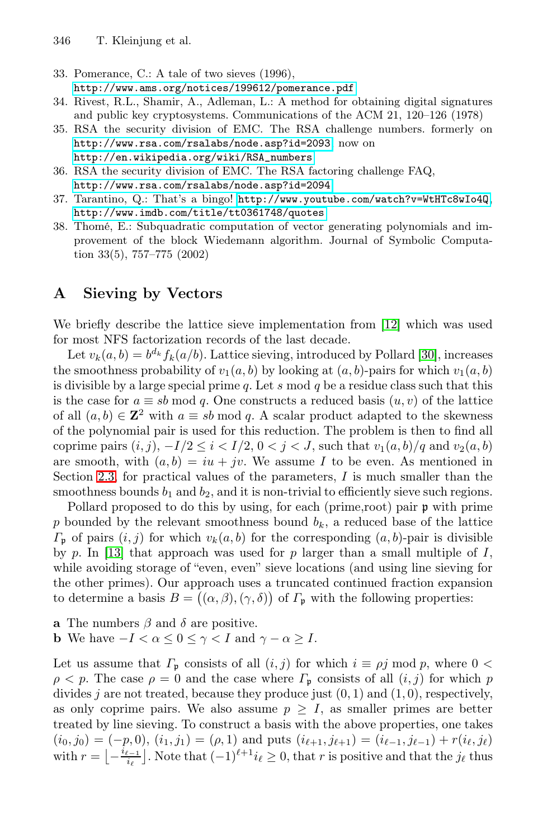- <span id="page-13-4"></span><span id="page-13-2"></span><span id="page-13-0"></span>[33.](http://www.rsa.com/rsalabs/node.asp?id=2094) [Pomerance,](http://www.rsa.com/rsalabs/node.asp?id=2094) [C.:](http://www.rsa.com/rsalabs/node.asp?id=2094) [A](http://www.rsa.com/rsalabs/node.asp?id=2094) [tale](http://www.rsa.com/rsalabs/node.asp?id=2094) [of](http://www.rsa.com/rsalabs/node.asp?id=2094) [two](http://www.rsa.com/rsalabs/node.asp?id=2094) [s](http://www.rsa.com/rsalabs/node.asp?id=2094)ieves (1996), http://ww[w.ams.org/notices/199612/pomerance.pdf](http://www.youtube.com/watch?v=WtHTc8wIo4Q)
- <span id="page-13-3"></span>[34.](http://www.imdb.com/title/tt0361748/quotes) [Rivest,](http://www.imdb.com/title/tt0361748/quotes) [R.L.,](http://www.imdb.com/title/tt0361748/quotes) [Shamir,](http://www.imdb.com/title/tt0361748/quotes) [A.,](http://www.imdb.com/title/tt0361748/quotes) [Ad](http://www.imdb.com/title/tt0361748/quotes)leman, L.: A method for obtaining digital signatures and public key cryptosystems. Communications of the ACM 21, 120–126 (1978)
- 35. RSA the security division of EMC. The RSA challenge numbers. formerly on http://www.rsa.com/rsalabs/node.asp?id=2093, now on
	- http://en.wikipedia.org/wiki/RSA\_numbers
- <span id="page-13-1"></span>36. RSA the security division of EMC. The RSA factoring challenge FAQ, http://www.rsa.com/rsalabs/node.asp?id=2094
- 37. Tarantino, Q.: That's a bingo! http://www.youtube.com/watch?v=WtHTc8wIo4Q, http://www.imdb.com/title/tt036174[8/q](#page-11-8)uotes
- 38. Thomé, E.: Subquadratic computation of vector generating polynomials and improvement of the block Wiedemann algorith[m.](#page-12-10) [J](#page-12-10)ournal of Symbolic Computation 33(5), 757–775 (2002)

## A Sieving by Vectors

We briefly describe the lattice sieve implementation from [12] which was used for most NFS factorization records of the last decade.

Let  $v_k(a, b) = b^{d_k} f_k(a/b)$ . Lattice sieving, introduced by Pollard [30], increases the smoothness probability of  $v_1(a, b)$  by looking at  $(a, b)$ -pairs for which  $v_1(a, b)$ is divisible by a large special prime q. Let s mod q be a residue class such that this is the case for  $a \equiv sb \mod q$ . One constructs a reduced basis  $(u, v)$  of the lattice of all  $(a, b) \in \mathbb{Z}^2$  with  $a \equiv sb \mod q$ . A scalar product adapted to the skewness of the polynomial pair is used for this reduction. The problem is then to find all coprime pairs  $(i, j)$ ,  $-I/2 \leq i < I/2$ ,  $0 < j < J$ , such that  $v_1(a, b)/q$  and  $v_2(a, b)$ are smooth, with  $(a, b) = iu + jv$ . We assume I to be even. As mentioned in Section 2.3, for practical values of the parameters,  $I$  is much smaller than the smoothness bounds  $b_1$  and  $b_2$ , and it is non-trivial to efficiently sieve such regions.

Pollard proposed to do this by using, for each (prime,root) pair  $\mathfrak p$  with prime p bounded by the relevant smoothness bound  $b_k$ , a reduced base of the lattice  $\Gamma_{\mathfrak{p}}$  of pairs  $(i, j)$  for which  $v_k(a, b)$  for the corresponding  $(a, b)$ -pair is divisible by p. In [13] that approach was used for p larger than a small multiple of  $I$ , while avoiding storage of "even, even" sieve locations (and using line sieving for the other primes). Our approach uses a truncated continued fraction expansion to determine a basis  $B = ((\alpha, \beta), (\gamma, \delta))$  of  $\Gamma_{\mathfrak{p}}$  with the following properties:

- **a** The numbers  $\beta$  and  $\delta$  are positive.
- **b** We have  $-I < \alpha \leq 0 \leq \gamma < I$  and  $\gamma \alpha \geq I$ .

Let us assume that  $\Gamma_{\mathfrak{p}}$  consists of all  $(i, j)$  for which  $i \equiv \rho j \mod p$ , where  $0 <$  $\rho < p$ . The case  $\rho = 0$  and the case where  $\Gamma_p$  consists of all  $(i, j)$  for which p divides j are not treated, because they produce just  $(0, 1)$  and  $(1, 0)$ , respectively, as only coprime pairs. We also assume  $p \geq I$ , as smaller primes are better treated by line sieving. To construct a basis with the above properties, one takes  $(i_0, j_0)=(-p, 0), (i_1, j_1)=(\rho, 1)$  and puts  $(i_{\ell+1}, j_{\ell+1})=(i_{\ell-1}, j_{\ell-1}) + r(i_{\ell}, j_{\ell})$ with  $r = \left[ -\frac{i_{\ell-1}}{i_{\ell}} \right]$ . Note that  $(-1)^{\ell+1} i_{\ell} \ge 0$ , that r is positive and that the j<sub>l</sub> thus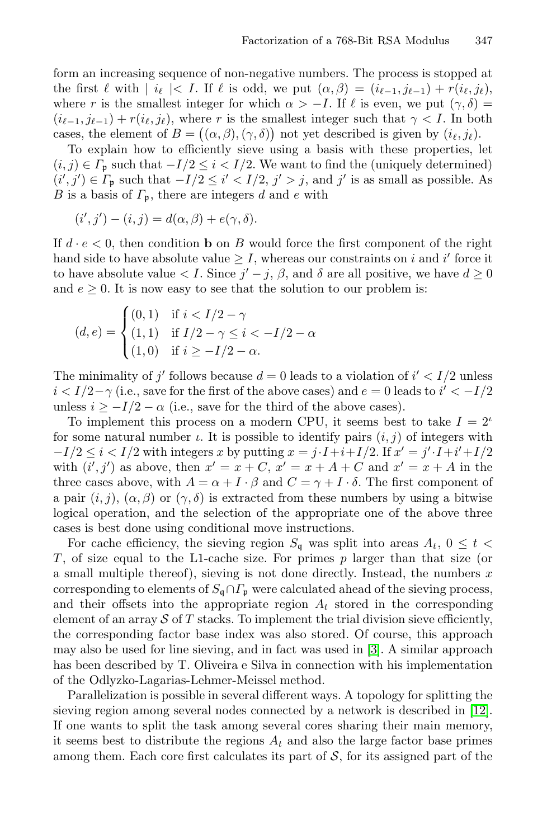form an increasing sequence of non-negative numbers. The process is stopped at the first  $\ell$  with  $|i_{\ell}| < I$ . If  $\ell$  is odd, we put  $(\alpha, \beta) = (i_{\ell-1}, j_{\ell-1}) + r(i_{\ell}, j_{\ell}),$ where r is the smallest integer for which  $\alpha > -I$ . If  $\ell$  is even, we put  $(\gamma, \delta)$  =  $(i_{\ell-1}, j_{\ell-1}) + r(i_{\ell}, j_{\ell})$ , where r is the smallest integer such that  $\gamma < I$ . In both cases, the element of  $B = ((\alpha, \beta), (\gamma, \delta))$  not yet described is given by  $(i_{\ell}, j_{\ell}).$ 

To explain how to efficiently sieve using a basis with these properties, let  $(i, j) \in \Gamma_{\mathfrak{p}}$  such that  $-I/2 \leq i < I/2$ . We want to find the (uniquely determined)  $(i', j') \in \Gamma_{\mathfrak{p}}$  such that  $-I/2 \leq i' < I/2$ ,  $j' > j$ , and  $j'$  is as small as possible. As B is a basis of  $\Gamma_{p}$ , there are integers d and e with

$$
(i',j') - (i,j) = d(\alpha,\beta) + e(\gamma,\delta).
$$

If  $d \cdot e < 0$ , then condition **b** on B would force the first component of the right hand side to have absolute value  $\geq I$ , whereas our constraints on i and i' force it to have absolute value  $\lt I$ . Since  $j'-j$ ,  $\beta$ , and  $\delta$  are all positive, we have  $d \geq 0$ and  $e \geq 0$ . It is now easy to see that the solution to our problem is:

$$
(d, e) = \begin{cases} (0, 1) & \text{if } i < I/2 - \gamma \\ (1, 1) & \text{if } I/2 - \gamma \le i < -I/2 - \alpha \\ (1, 0) & \text{if } i \ge -I/2 - \alpha. \end{cases}
$$

The minimality of j' follows because  $d = 0$  leads to a violation of  $i' < I/2$  unless  $i < I/2-\gamma$  (i.e., save for the first of the above cases) and  $e = 0$  leads to  $i' < -I/2$ unless  $i \ge -I/2 - \alpha$  (i.e., save for the third of the above cases).

To implement this process on a modern CPU, it seems best to take  $I = 2^{\iota}$ for some natural number  $\iota$ . It is possible to identify pairs  $(i, j)$  of integers with  $-I/2 \leq i < I/2$  with integers x by putting  $x = j \cdot I + i + I/2$ . If  $x' = j' \cdot I + i' + I/2$ with  $(i', j')$  as above, then  $x' = x + C$ ,  $x' = x + A + C$  and  $x' = x + A$  in the three cases above, with  $A = \alpha + I \cdot \beta$  and  $C = \gamma + I \cdot \delta$ . The first component of a pair  $(i, j)$ ,  $(\alpha, \beta)$  or  $(\gamma, \delta)$  is extracted from these numbers by using a bitwise logical operation, and the selection of the appropriate one of the above three cases is best done using conditional m[ov](#page-11-11)e instructions.

For cache efficiency, the sieving region  $S_{\mathfrak{q}}$  was split into areas  $A_t$ ,  $0 \leq t$ T, of size equal to the L1-cache size. For primes  $p$  larger than that size (or a small multiple thereof), sieving is not done directly. Instead, the numbers  $x$ corresponding to elements of  $S_{\mathfrak{q}} \cap \Gamma_{\mathfrak{p}}$  were calculated ahea[d of](#page-11-8) the sieving process, and their offsets into the appropriate region  $A_t$  stored in the corresponding element of an array  $\mathcal S$  of T stacks. To implement the trial division sieve efficiently, the corresponding factor base index was also stored. Of course, this approach may also be used for line sieving, and in fact was used in [3]. A similar approach has been described by T. Oliveira e Silva in connection with his implementation of the Odlyzko-Lagarias-Lehmer-Meissel method.

Parallelization is possible in several different ways. A topology for splitting the sieving region among several nodes connected by a network is described in [12]. If one wants to split the task among several cores sharing their main memory, it seems best to distribute the regions  $A_t$  and also the large factor base primes among them. Each core first calculates its part of  $S$ , for its assigned part of the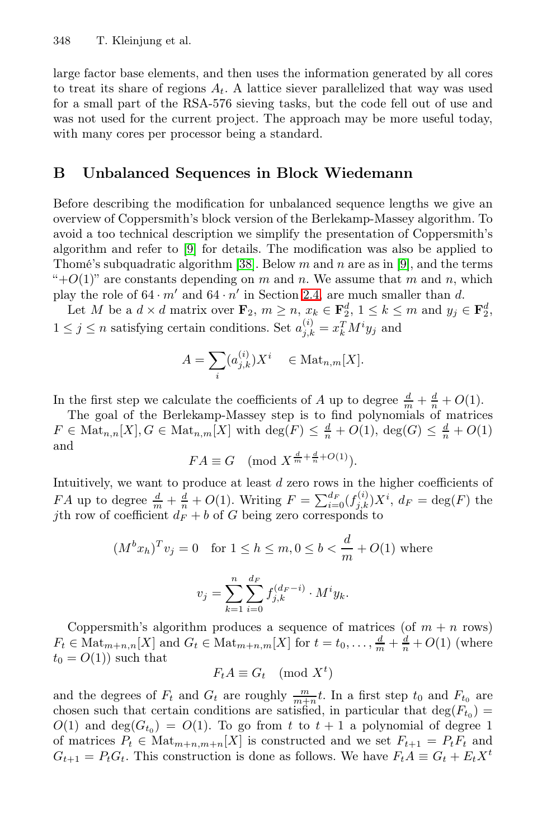large factor base elements, and then uses the information generated by all cores to treat its share of regions  $A_t$ . A lattice siever parallelized that way was used for a small part of the RSA-576 sieving tasks, but the code fell out of use and was not used for the current project. The approach may be more useful today, with [m](#page-11-2)any cores per processor being a standard.

### B Unbalanced Se[que](#page-6-1)nces in Block Wiedemann

Before describing the modification for unbalanced sequence lengths we give an overview of Coppersmith's block version of the Berlekamp-Massey algorithm. To avoid a too technical description we simplify the presentation of Coppersmith's algorithm and refer to [9] for details. The modification was also be applied to Thomé's subquadratic algorithm [38]. Below  $m$  and  $n$  are as in [9], and the terms "+ $O(1)$ " are constants depending on m and n. We assume that m and n, which play the role of  $64 \cdot m'$  and  $64 \cdot n'$  in Section 2.4, are much smaller than d.

Let M be a  $d \times d$  matrix over  $\mathbf{F}_2$ ,  $m \geq n$ ,  $x_k \in \mathbf{F}_2^d$ ,  $1 \leq k \leq m$  and  $y_j \in \mathbf{F}_2^d$ ,  $1 \leq j \leq n$  satisfying certain conditions. Set  $a_{j,k}^{(i)} = x_k^T M^i y_j$  and

$$
A = \sum_{i} (a_{j,k}^{(i)}) X^i \quad \in \text{Mat}_{n,m}[X].
$$

In the first step we calculate the coefficients of A up to degree  $\frac{d}{m} + \frac{d}{n} + O(1)$ .

The goal of the Berlekamp-Massey step is to find polynomials of matrices  $F \in \text{Mat}_{n,n}[X], G \in \text{Mat}_{n,m}[X]$  with  $\text{deg}(F) \leq \frac{d}{n} + O(1)$ ,  $\text{deg}(G) \leq \frac{d}{n} + O(1)$ and

$$
FA \equiv G \pmod{X^{\frac{d}{m} + \frac{d}{n} + O(1)}}.
$$

Intuitively, we want to produce at least d zero rows in the higher coefficients of FA up to degree  $\frac{d}{m} + \frac{d}{n} + O(1)$ . Writing  $F = \sum_{i=0}^{d_F} (f_{j,k}^{(i)}) X^i$ ,  $d_F = \deg(F)$  the jth row of coefficient  $d_F + b$  of G being zero corresponds to

$$
(M^{b}x_{h})^{T}v_{j} = 0 \text{ for } 1 \leq h \leq m, 0 \leq b < \frac{d}{m} + O(1) \text{ where}
$$

$$
v_{j} = \sum_{k=1}^{n} \sum_{i=0}^{d_{F}} f_{j,k}^{(d_{F}-i)} \cdot M^{i}y_{k}.
$$

Coppersmith's algorithm produces a sequence of matrices (of  $m + n$  rows)  $F_t \in \text{Mat}_{m+n,n}[X]$  and  $G_t \in \text{Mat}_{m+n,m}[X]$  for  $t = t_0, \ldots, \frac{d}{m} + \frac{d}{n} + O(1)$  (where  $t_0 = O(1)$  such that

$$
F_t A \equiv G_t \pmod{X^t}
$$

and the degrees of  $F_t$  and  $G_t$  are roughly  $\frac{m}{m+n}t$ . In a first step  $t_0$  and  $F_{t_0}$  are chosen such that certain conditions are satisfied, in particular that  $deg(F_{t_0}) =$  $O(1)$  and  $deg(G_{t_0}) = O(1)$ . To go from t to  $t + 1$  a polynomial of degree 1 of matrices  $P_t \in \text{Mat}_{m+n,m+n}[X]$  is constructed and we set  $F_{t+1} = P_t F_t$  and  $G_{t+1} = P_t G_t$ . This construction is done as follows. We have  $F_t A \equiv G_t + E_t X^t$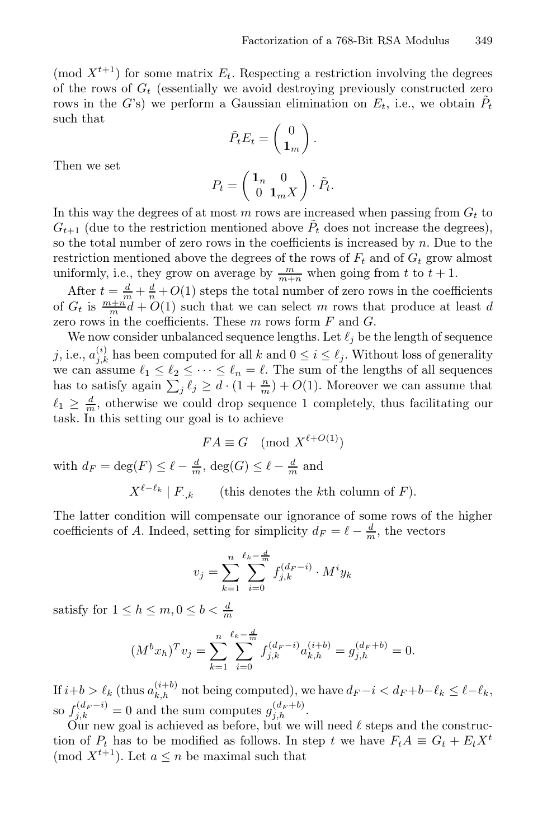(mod  $X^{t+1}$ ) for some matrix  $E_t$ . Respecting a restriction involving the degrees of the rows of  $G_t$  (essentially we avoid destroying previously constructed zero rows in the G's) we perform a Gaussian elimination on  $E_t$ , i.e., we obtain  $P_t$ such that

$$
\tilde{P}_t E_t = \begin{pmatrix} 0 \\ \mathbf{1}_m \end{pmatrix}.
$$

Then we set

$$
P_t = \begin{pmatrix} \mathbf{1}_n & 0 \\ 0 & \mathbf{1}_m X \end{pmatrix} \cdot \tilde{P}_t.
$$

In this way the degrees of at most  $m$  rows are increased when passing from  $G_t$  to  $G_{t+1}$  (due to the restriction mentioned above  $\tilde{P}_t$  does not increase the degrees), so the total number of zero rows in the coefficients is increased by  $n$ . Due to the restriction mentioned above the degrees of the rows of  $F_t$  and of  $G_t$  grow almost uniformly, i.e., they grow on average by  $\frac{m}{m+n}$  when going from t to  $t + 1$ .

After  $t = \frac{d}{m} + \frac{d}{n} + O(1)$  steps the total number of zero rows in the coefficients of  $G_t$  is  $\frac{m+m}{m}d+O(1)$  such that we can select m rows that produce at least d zero rows in the coefficients. These  $m$  rows form  $F$  and  $G$ .

We now consider unbalanced sequence lengths. Let  $\ell_i$  be the length of sequence j, i.e.,  $a_{j,k}^{(i)}$  has been computed for all k and  $0 \leq i \leq \ell_j$ . Without loss of generality we can assume  $\ell_1 \leq \ell_2 \leq \cdots \leq \ell_n = \ell$ . The sum of the lengths of all sequences has to satisfy again  $\sum_{i} \ell_i \geq d \cdot (1 + \frac{n}{m}) + O(1)$ . Moreover we can assume that  $\ell_1 \geq \frac{d}{m}$ , otherwise we could drop sequence 1 completely, thus facilitating our task. In this setting our goal is to achieve

$$
FA \equiv G \pmod{X^{\ell+O(1)}}
$$

with  $d_F = \deg(F) \leq \ell - \frac{d}{m}$ ,  $\deg(G) \leq \ell - \frac{d}{m}$  and

 $X^{\ell-\ell_k}$  | F<sub>·k</sub> (this denotes the kth column of F).

The latter condition will compensate our ignorance of some rows of the higher coefficients of A. Indeed, setting for simplicity  $d_F = \ell - \frac{d}{m}$ , the vectors

$$
v_j = \sum_{k=1}^n \sum_{i=0}^{\ell_k - \frac{d}{m}} f_{j,k}^{(d_F - i)} \cdot M^i y_k
$$

satisfy for  $1 \leq h \leq m, 0 \leq b < \frac{d}{m}$ 

$$
(M^{b}x_{h})^{T}v_{j} = \sum_{k=1}^{n} \sum_{i=0}^{\ell_{k} - \frac{d}{m}} f_{j,k}^{(d_{F} - i)} a_{k,h}^{(i+b)} = g_{j,h}^{(d_{F} + b)} = 0.
$$

If  $i+b > \ell_k$  (thus  $a_{k,h}^{(i+b)}$  not being computed), we have  $d_F - i < d_F + b - \ell_k \leq \ell - \ell_k$ , so  $f_{i,k}^{(d_F - i)} = 0$  and the sum computes  $g_{i,h}^{(d_F + b)}$ .

Our new goal is achieved as before, but we will need  $\ell$  steps and the construction of  $P_t$  has to be modified as follows. In step t we have  $F_tA \equiv G_t + E_t X^t$ (mod  $X^{t+1}$ ). Let  $a \leq n$  be maximal such that